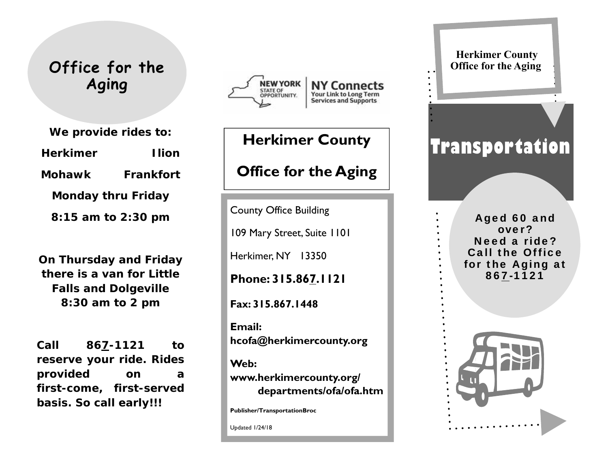### **Office for the Aging**

**We provide rides to: Herkimer Ilion Mohawk Frankfort Monday thru Friday 8:15 am to 2:30 pm** 

**On Thursday and Friday there is a van for Little Falls and Dolgeville 8:30 am to 2 pm** 

**Call 867-1121 to reserve your ride. Rides provided on a first-come, first-served basis. So call early!!!** 



## **Herkimer County Office for the Aging**

County Office Building

109 Mary Street, Suite 1101

Herkimer, NY 13350

**Phone: 315.867.1121** 

**Fax: 315.867.1448** 

**Email: hcofa@herkimercounty.org** 

**Web: www.herkimercounty.org/** 

 **departments/ofa/ofa.htm** 

**Publisher/TransportationBroc** 

Updated 1/24/18

#### **Herkimer County Office for the Aging**

# **Transportation**

Aged 60 and over? Need a ride? Call the Office for the Aging at 867-1121